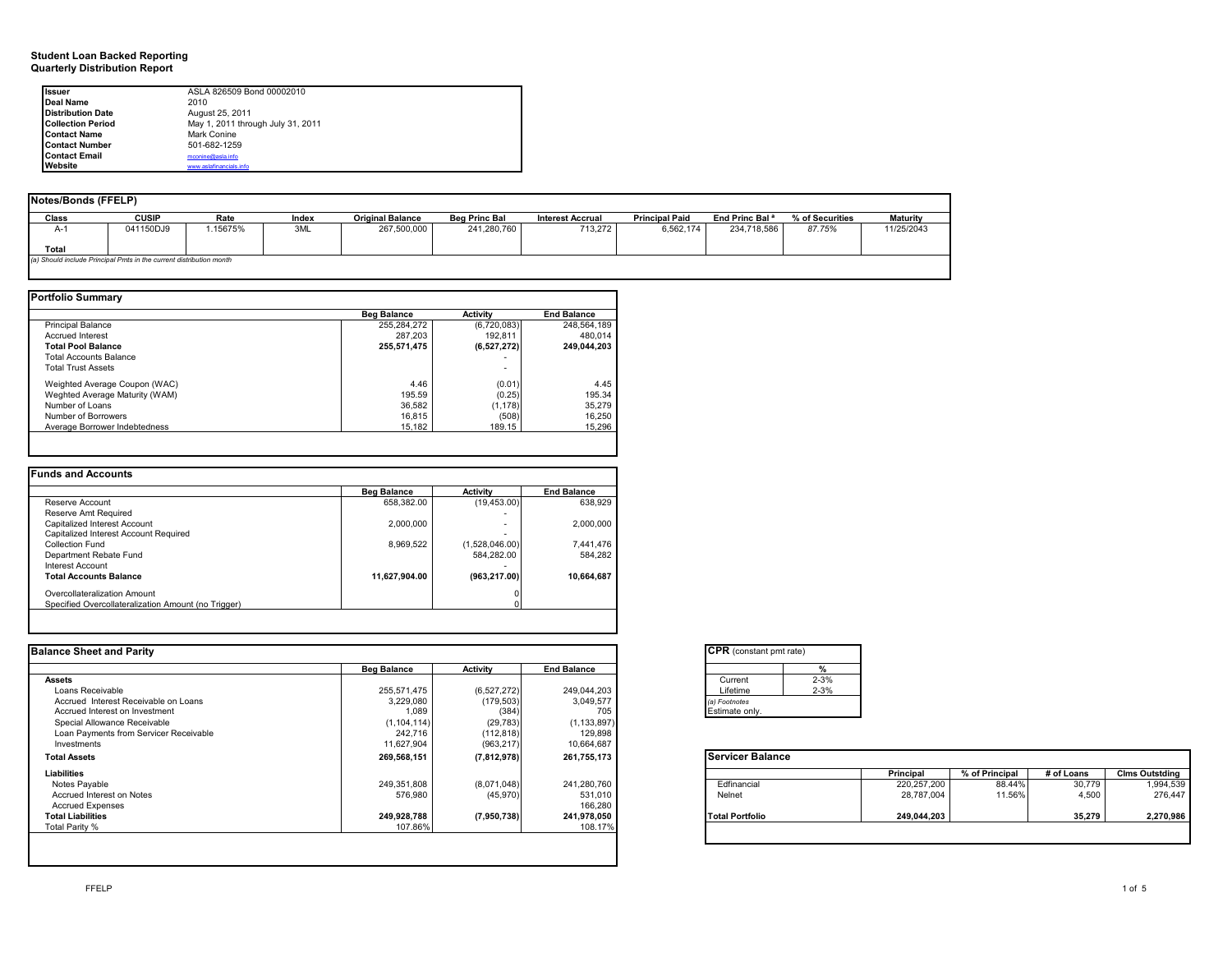#### **Quarterly Distribution Report Student Loan Backed Reporting**

| Issuer                   | ASLA 826509 Bond 00002010         |  |
|--------------------------|-----------------------------------|--|
| Deal Name                | 2010                              |  |
| <b>Distribution Date</b> | August 25, 2011                   |  |
| <b>Collection Period</b> | May 1, 2011 through July 31, 2011 |  |
| <b>Contact Name</b>      | Mark Conine                       |  |
| <b>Contact Number</b>    | 501-682-1259                      |  |
| <b>Contact Email</b>     | mconine@asla.info                 |  |
| Website                  | www.aslafinancials.info           |  |

| <b>Notes/Bonds (FFELP)</b> |                                                                     |          |       |                         |                      |                         |                       |                            |                 |                 |
|----------------------------|---------------------------------------------------------------------|----------|-------|-------------------------|----------------------|-------------------------|-----------------------|----------------------------|-----------------|-----------------|
| Class                      | <b>CUSIP</b>                                                        | Rate     | Index | <b>Original Balance</b> | <b>Beg Princ Bal</b> | <b>Interest Accrual</b> | <b>Principal Paid</b> | End Princ Bal <sup>a</sup> | % of Securities | <b>Maturity</b> |
| A-1                        | 041150DJ9                                                           | 1.15675% | 3ML   | 267,500,000             | 241,280,760          | 713,272                 | 6,562,174             | 234,718,586                | 87.75%          | 11/25/2043      |
|                            |                                                                     |          |       |                         |                      |                         |                       |                            |                 |                 |
| Total                      |                                                                     |          |       |                         |                      |                         |                       |                            |                 |                 |
|                            | (a) Should include Principal Pmts in the current distribution month |          |       |                         |                      |                         |                       |                            |                 |                 |
|                            |                                                                     |          |       |                         |                      |                         |                       |                            |                 |                 |

|                                | <b>Beg Balance</b> | Activity    | <b>End Balance</b> |
|--------------------------------|--------------------|-------------|--------------------|
| <b>Principal Balance</b>       | 255,284,272        | (6,720,083) | 248,564,189        |
| <b>Accrued Interest</b>        | 287.203            | 192.811     | 480.014            |
| <b>Total Pool Balance</b>      | 255,571,475        | (6,527,272) | 249,044,203        |
| Total Accounts Balance         |                    | ۰           |                    |
| <b>Total Trust Assets</b>      |                    |             |                    |
| Weighted Average Coupon (WAC)  | 4.46               | (0.01)      | 4.45               |
| Weghted Average Maturity (WAM) | 195.59             | (0.25)      | 195.34             |
| Number of Loans                | 36,582             | (1, 178)    | 35.279             |
| Number of Borrowers            | 16,815             | (508)       | 16.250             |
| Average Borrower Indebtedness  | 15.182             | 189.15      | 15.296             |

|                                                     | <b>Beg Balance</b> | <b>Activity</b> | <b>End Balance</b> |
|-----------------------------------------------------|--------------------|-----------------|--------------------|
| Reserve Account                                     | 658.382.00         | (19, 453.00)    | 638,929            |
| Reserve Amt Required                                |                    | ۰               |                    |
| Capitalized Interest Account                        | 2.000.000          | ۰               | 2.000.000          |
| Capitalized Interest Account Required               |                    |                 |                    |
| Collection Fund                                     | 8,969,522          | (1,528,046.00)  | 7,441,476          |
| Department Rebate Fund                              |                    | 584.282.00      | 584.282            |
| Interest Account                                    |                    |                 |                    |
| <b>Total Accounts Balance</b>                       | 11.627.904.00      | (963.217.00)    | 10.664.687         |
| Overcollateralization Amount                        |                    |                 |                    |
| Specified Overcollateralization Amount (no Trigger) |                    |                 |                    |

| <b>Balance Sheet and Parity</b>        |                    |                 |                    | <b>CPR</b> (constant pmt rate) |             |                |            |                       |
|----------------------------------------|--------------------|-----------------|--------------------|--------------------------------|-------------|----------------|------------|-----------------------|
|                                        | <b>Beg Balance</b> | <b>Activity</b> | <b>End Balance</b> |                                |             |                |            |                       |
| Assets                                 |                    |                 |                    | $2 - 3%$<br>Current            |             |                |            |                       |
| Loans Receivable                       | 255,571,475        | (6,527,272)     | 249,044,203        | $2 - 3%$<br>Lifetime           |             |                |            |                       |
| Accrued Interest Receivable on Loans   | 3,229,080          | (179, 503)      | 3,049,577          | a) Footnotes                   |             |                |            |                       |
| Accrued Interest on Investment         | 1,089              | (384)           | 705                | Estimate only.                 |             |                |            |                       |
| Special Allowance Receivable           | (1, 104, 114)      | (29, 783)       | (1, 133, 897)      |                                |             |                |            |                       |
| Loan Payments from Servicer Receivable | 242,716            | (112, 818)      | 129,898            |                                |             |                |            |                       |
| Investments                            | 11,627,904         | (963, 217)      | 10,664,687         |                                |             |                |            |                       |
| <b>Total Assets</b>                    | 269,568,151        | (7, 812, 978)   | 261,755,173        | <b>Servicer Balance</b>        |             |                |            |                       |
| Liabilities                            |                    |                 |                    |                                | Principal   | % of Principal | # of Loans | <b>Clms Outstding</b> |
| Notes Payable                          | 249.351.808        | (8,071,048)     | 241,280,760        | Edfinancial                    | 220,257,200 | 88.44%         | 30,779     | 1,994,539             |
| Accrued Interest on Notes              | 576,980            | (45,970)        | 531,010            | Nelnet                         | 28.787.004  | 11.56%         | 4.500      | 276,447               |
| <b>Accrued Expenses</b>                |                    |                 | 166,280            |                                |             |                |            |                       |
| <b>Total Liabilities</b>               | 249,928,788        | (7,950,738)     | 241,978,050        | <b>Total Portfolio</b>         | 249,044,203 |                | 35,279     | 2,270,986             |
| Total Parity %                         | 107.86%            |                 | 108.17%            |                                |             |                |            |                       |
|                                        |                    |                 |                    |                                |             |                |            |                       |
|                                        |                    |                 |                    |                                |             |                |            |                       |

| <b>CPR</b> (constant pmt rate) |          |
|--------------------------------|----------|
|                                | %        |
| Current                        | $2 - 3%$ |
| Lifetime                       | $2 - 3%$ |
| (a) Footnotes                  |          |
| Estimate only.                 |          |

|                        | Principal   | % of Principal | # of Loans | <b>Clms Outstding</b> |
|------------------------|-------------|----------------|------------|-----------------------|
| Edfinancial            | 220,257,200 | 88.44%         | 30.779     | 1,994,539             |
| Nelnet                 | 28,787,004  | 11.56%         | 4.500      | 276,447               |
| <b>Total Portfolio</b> | 249,044,203 |                | 35.279     | 2,270,986             |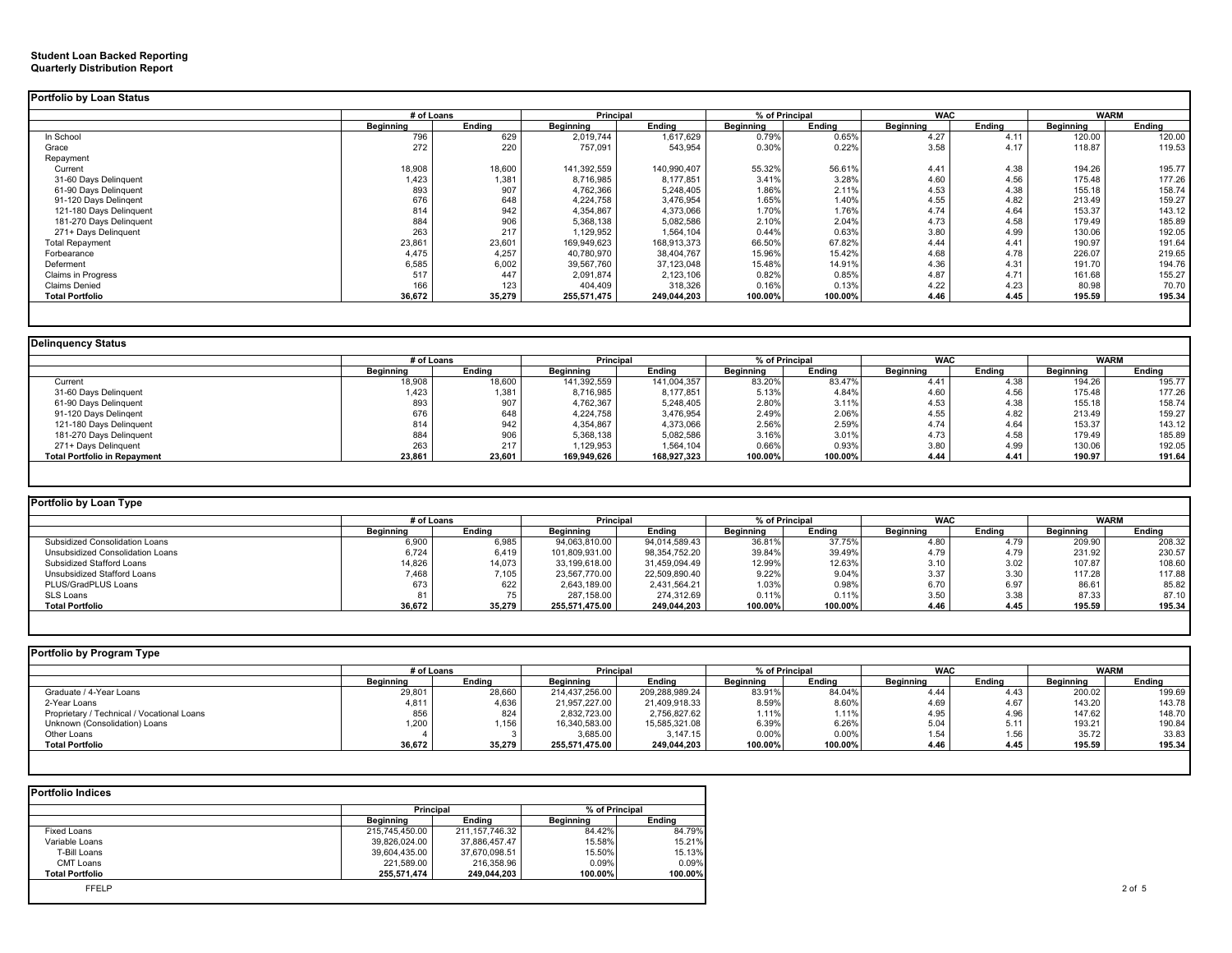#### **Quarterly Distribution Report Student Loan Backed Reporting**

| Portfolio by Loan Status  |            |        |             |             |                  |         |                  |        |             |        |
|---------------------------|------------|--------|-------------|-------------|------------------|---------|------------------|--------|-------------|--------|
|                           | # of Loans |        | Principal   |             | % of Principal   |         | <b>WAC</b>       |        | <b>WARM</b> |        |
|                           | Beginning  | Ending | Beginning   | Ending      | <b>Beginning</b> | Endina  | <b>Beginning</b> | Ending | Beginning   | Endina |
| In School                 | 796        | 629    | 2,019,744   | 1,617,629   | 0.79%            | 0.65%   | 4.27             | 4.11   | 120.00      | 120.00 |
| Grace                     | 272        | 220    | 757,091     | 543,954     | 0.30%            | 0.22%   | 3.58             | 4.17   | 118.87      | 119.53 |
| Repayment                 |            |        |             |             |                  |         |                  |        |             |        |
| Current                   | 18,908     | 18,600 | 141,392,559 | 140,990,407 | 55.32%           | 56.61%  | 4.41             | 4.38   | 194.26      | 195.77 |
| 31-60 Days Delinquent     | 1,423      | 1,381  | 8,716,985   | 8,177,851   | 3.41%            | 3.28%   | 4.60             | 4.56   | 175.48      | 177.26 |
| 61-90 Days Delinquent     | 893        | 907    | 4,762,366   | 5,248,405   | 1.86%            | 2.11%   | 4.53             | 4.38   | 155.18      | 158.74 |
| 91-120 Days Delingent     | 676        | 648    | 4,224,758   | 3,476,954   | 1.65%            | 1.40%   | 4.55             | 4.82   | 213.49      | 159.27 |
| 121-180 Days Delinquent   | 814        | 942    | 4,354,867   | 4,373,066   | 1.70%            | 1.76%   | 4.74             | 4.64   | 153.37      | 143.12 |
| 181-270 Days Delinguent   | 884        | 906    | 5,368,138   | 5,082,586   | 2.10%            | 2.04%   | 4.73             | 4.58   | 179.49      | 185.89 |
| 271+ Days Delinquent      | 263        | 217    | 1,129,952   | 1,564,104   | 0.44%            | 0.63%   | 3.80             | 4.99   | 130.06      | 192.05 |
| <b>Total Repayment</b>    | 23,861     | 23,601 | 169,949,623 | 168,913,373 | 66.50%           | 67.82%  | 4.44             | 4.41   | 190.97      | 191.64 |
| Forbearance               | 4.475      | 4,257  | 40,780,970  | 38,404,767  | 15.96%           | 15.42%  | 4.68             | 4.78   | 226.07      | 219.65 |
| Deferment                 | 6,585      | 6,002  | 39,567,760  | 37,123,048  | 15.48%           | 14.91%  | 4.36             | 4.31   | 191.70      | 194.76 |
| <b>Claims in Progress</b> | 517        | 447    | 2,091,874   | 2,123,106   | 0.82%            | 0.85%   | 4.87             | 4.71   | 161.68      | 155.27 |
| <b>Claims Denied</b>      | 166        | 123    | 404,409     | 318,326     | 0.16%            | 0.13%   | 4.22             | 4.23   | 80.98       | 70.70  |
| <b>Total Portfolio</b>    | 36,672     | 35,279 | 255,571,475 | 249,044,203 | 100.00%          | 100.00% | 4.46             | 4.45   | 195.59      | 195.34 |
|                           |            |        |             |             |                  |         |                  |        |             |        |

### **Delinquency Status**

|                                     | # of Loans |        | Principal   |             | % of Principal   |         | <b>WAC</b> |        | <b>WARM</b>      |        |
|-------------------------------------|------------|--------|-------------|-------------|------------------|---------|------------|--------|------------------|--------|
|                                     | Beginning  | Endina | Beginning   | Endina      | <b>Beginning</b> | Endina  | Beainnina  | Endina | <b>Beginning</b> | Endina |
| Current                             | 18,908     | 18,600 | 141,392,559 | 141,004,357 | 83.20%           | 83.47%  | 4.41       | 4.38   | 194.26           | 195.77 |
| 31-60 Days Delinquent               | 1,423      | 1,381  | 8,716,985   | 8,177,851   | 5.13%            | 4.84%   | 4.60       | 4.56   | 175.48           | 177.26 |
| 61-90 Days Delinquent               | 893        | 907    | 4,762,367   | 5,248,405   | 2.80%            | 3.11%   | 4.53       | 4.38   | 155.18           | 158.74 |
| 91-120 Days Delingent               | 676        | 648    | 4,224,758   | 3,476,954   | 2.49%            | 2.06%   | 4.55       | 4.82   | 213.49           | 159.27 |
| 121-180 Days Delinquent             | 814        | 942    | 4,354,867   | 4,373,066   | 2.56%            | 2.59%   | 4.74       | 4.64   | 153.37           | 143.12 |
| 181-270 Days Delinquent             | 884        | 906    | 5,368,138   | 5,082,586   | 3.16%            | 3.01%   | 4.73       | 4.58   | 179.49           | 185.89 |
| 271+ Days Delinguent                | 263        | 217    | 1,129,953   | 1,564,104   | 0.66%            | 0.93%   | 3.80       | 4.99   | 130.06           | 192.05 |
| <b>Total Portfolio in Repayment</b> | 23,861     | 23,601 | 169,949,626 | 168,927,323 | 100.00%          | 100.00% | 4.44       | 4.41   | 190.97           | 191.64 |

| Portfolio by Loan Type           |            |        |                |               |                |         |            |        |             |        |
|----------------------------------|------------|--------|----------------|---------------|----------------|---------|------------|--------|-------------|--------|
|                                  | # of Loans |        | Principal      |               | % of Principal |         | <b>WAC</b> |        | <b>WARM</b> |        |
|                                  | Beainnina  | Endina | Beainnina      | Endina        | Beainnina      | Endina  | Beainnina  | Endina | Beainnina   | Endina |
| Subsidized Consolidation Loans   | 6,900      | 6,985  | 94.063.810.00  | 94,014,589.43 | 36.81%         | 37.75%  | 4.80       |        | 209.90      | 208.32 |
| Unsubsidized Consolidation Loans | 6,724      | 6,419  | 101,809,931.00 | 98,354,752.20 | 39.84%         | 39.49%  | 4.79       | 4.79   | 231.92      | 230.57 |
| Subsidized Stafford Loans        | 14,826     | 14,073 | 33,199,618.00  | 31,459,094.49 | 12.99%         | 12.63%  | 3.10       | 3.02   | 107.87      | 108.60 |
| Unsubsidized Stafford Loans      | 7,468      | 7,105  | 23.567.770.00  | 22,509,890.40 | 9.22%          | 9.04%   | 3.37       | 3.30   | 117.28      | 117.88 |
| PLUS/GradPLUS Loans              | 673        | 622    | 2,643,189.00   | 2.431.564.21  | 1.03%          | 0.98%   | 6.70       | 6.97   | 86.61       | 85.82  |
| SLS Loans                        |            |        | 287.158.00     | 274.312.69    | 0.11%          | 0.11%   | 3.50       | 3.38   | 87.33       | 87.10  |
| <b>Total Portfolio</b>           | 36,672     | 35,279 | 255.571.475.00 | 249,044,203   | 100.00%        | 100.00% | 4.46       | 4.45   | 195.59      | 195.34 |
|                                  |            |        |                |               |                |         |            |        |             |        |

| Portfolio by Program Type                  |                  |        |                |                |           |                |                  |        |                  |             |
|--------------------------------------------|------------------|--------|----------------|----------------|-----------|----------------|------------------|--------|------------------|-------------|
|                                            | # of Loans       |        | Principal      |                |           | % of Principal | <b>WAC</b>       |        |                  | <b>WARM</b> |
|                                            | <b>Beginning</b> | Endina | Beginning      | Endina         | Beainnina | Endina         | <b>Beainnina</b> | Endina | <b>Beainning</b> | Endina      |
| Graduate / 4-Year Loans                    | 29,801           | 28,660 | 214.437.256.00 | 209.288.989.24 | 83.91%    | 84.04%         | 4.44             | 4.43   | 200.02           | 199.69      |
| 2-Year Loans                               | 4.811            | 4,636  | 21,957,227.00  | 21,409,918.33  | 8.59%     | 8.60%          | 4.69             | 4.67   | 143.20           | 143.78      |
| Proprietary / Technical / Vocational Loans | 856              | 824    | 2,832,723.00   | 2,756,827.62   | 1.11%     | 1.11%          | 4.95             | 4.96   | 147.62           | 148.70      |
| Unknown (Consolidation) Loans              | 1,200            | 1,156  | 16,340,583.00  | 15,585,321.08  | 6.39%     | 6.26%          | 5.04             | 5.11   | 193.21           | 190.84      |
| Other Loans                                |                  |        | 3,685.00       | 3,147.15       | 0.00%     | 0.00%          | 1.54             | 1.56   | 35.72            | 33.83       |
| <b>Total Portfolio</b>                     | 36,672           | 35,279 | 255,571,475.00 | 249,044,203    | 100.00%   | 100.00%        | 4.46             | 4.45   | 195.59           | 195.34      |
|                                            |                  |        |                |                |           |                |                  |        |                  |             |

| <b>Portfolio Indices</b> |                |                   |                |         |
|--------------------------|----------------|-------------------|----------------|---------|
|                          | Principal      |                   | % of Principal |         |
|                          | Beainnina      | Endina            | Beginning      | Endina  |
| Fixed Loans              | 215,745,450.00 | 211, 157, 746. 32 | 84.42%         | 84.79%  |
| Variable Loans           | 39,826,024.00  | 37,886,457.47     | 15.58%         | 15.21%  |
| T-Bill Loans             | 39,604,435.00  | 37,670,098.51     | 15.50%         | 15.13%  |
| CMT Loans                | 221,589.00     | 216,358.96        | 0.09%          | 0.09%   |
| <b>Total Portfolio</b>   | 255,571,474    | 249,044,203       | 100.00%        | 100.00% |
| <b>FFELP</b>             |                |                   |                |         |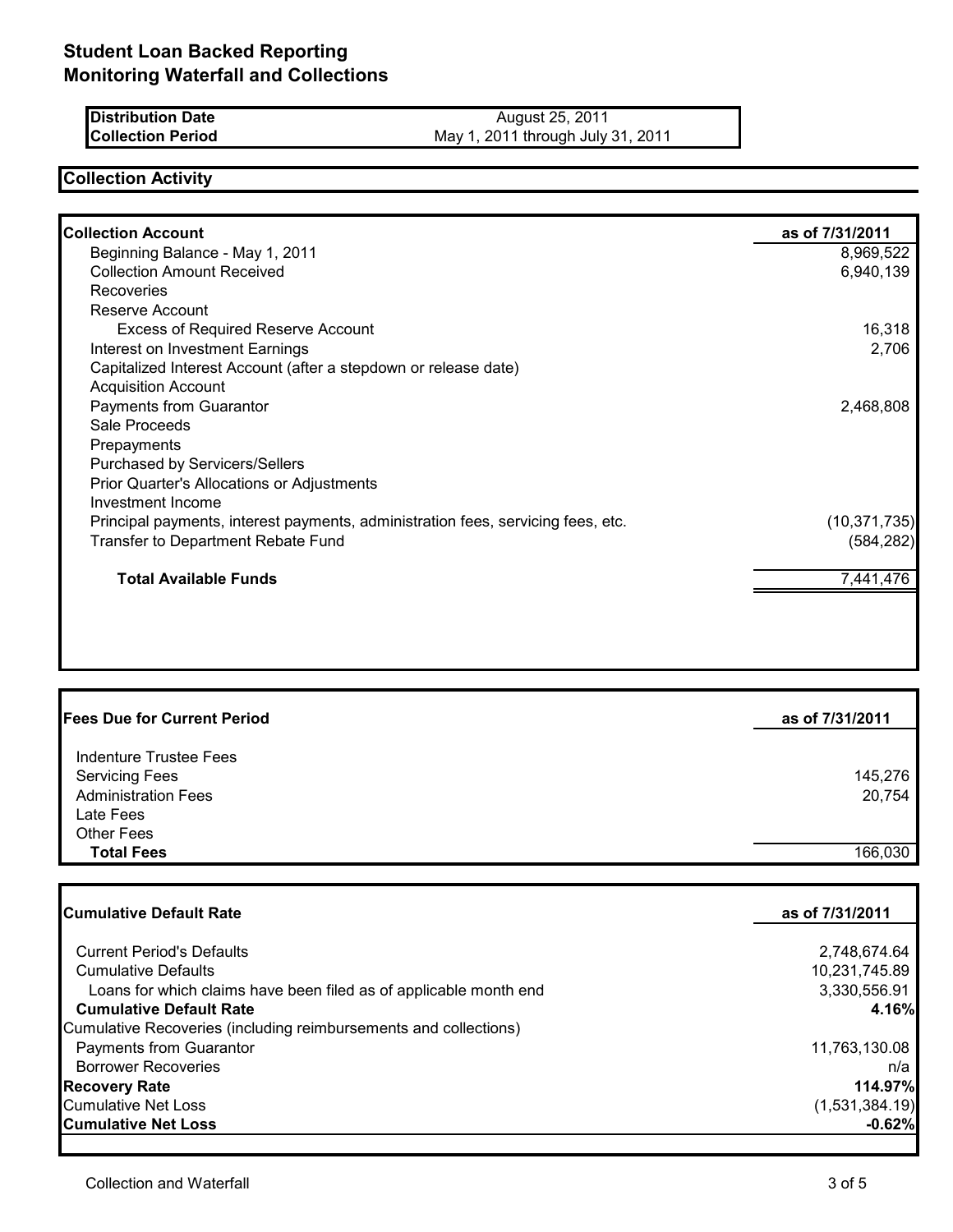| <b>Distribution Date</b> | August 25, 2011                   |
|--------------------------|-----------------------------------|
| <b>Collection Period</b> | May 1, 2011 through July 31, 2011 |

## **Collection Activity**

| <b>Collection Account</b>                                                        | as of 7/31/2011 |
|----------------------------------------------------------------------------------|-----------------|
| Beginning Balance - May 1, 2011                                                  | 8,969,522       |
| <b>Collection Amount Received</b>                                                | 6,940,139       |
| Recoveries                                                                       |                 |
| Reserve Account                                                                  |                 |
| <b>Excess of Required Reserve Account</b>                                        | 16,318          |
| Interest on Investment Earnings                                                  | 2,706           |
| Capitalized Interest Account (after a stepdown or release date)                  |                 |
| <b>Acquisition Account</b>                                                       |                 |
| Payments from Guarantor                                                          | 2,468,808       |
| Sale Proceeds                                                                    |                 |
| Prepayments                                                                      |                 |
| Purchased by Servicers/Sellers                                                   |                 |
| Prior Quarter's Allocations or Adjustments                                       |                 |
| Investment Income                                                                |                 |
| Principal payments, interest payments, administration fees, servicing fees, etc. | (10, 371, 735)  |
| Transfer to Department Rebate Fund                                               | (584, 282)      |
| <b>Total Available Funds</b>                                                     | 7,441,476       |

| <b>Fees Due for Current Period</b>                  | as of 7/31/2011   |
|-----------------------------------------------------|-------------------|
| Indenture Trustee Fees                              |                   |
| <b>Servicing Fees</b><br><b>Administration Fees</b> | 145,276<br>20,754 |
| Late Fees                                           |                   |
| <b>Other Fees</b>                                   |                   |
| <b>Total Fees</b>                                   | 166,030           |

| Cumulative Default Rate                                           | as of 7/31/2011 |  |
|-------------------------------------------------------------------|-----------------|--|
|                                                                   |                 |  |
| <b>Current Period's Defaults</b>                                  | 2,748,674.64    |  |
| <b>Cumulative Defaults</b>                                        | 10,231,745.89   |  |
| Loans for which claims have been filed as of applicable month end | 3,330,556.91    |  |
| <b>Cumulative Default Rate</b>                                    | 4.16%           |  |
| Cumulative Recoveries (including reimbursements and collections)  |                 |  |
| <b>Payments from Guarantor</b>                                    | 11,763,130.08   |  |
| <b>Borrower Recoveries</b>                                        | n/a             |  |
| <b>Recovery Rate</b>                                              | 114.97%         |  |
| <b>Cumulative Net Loss</b>                                        | (1,531,384.19)  |  |
| <b>Cumulative Net Loss</b>                                        | $-0.62%$        |  |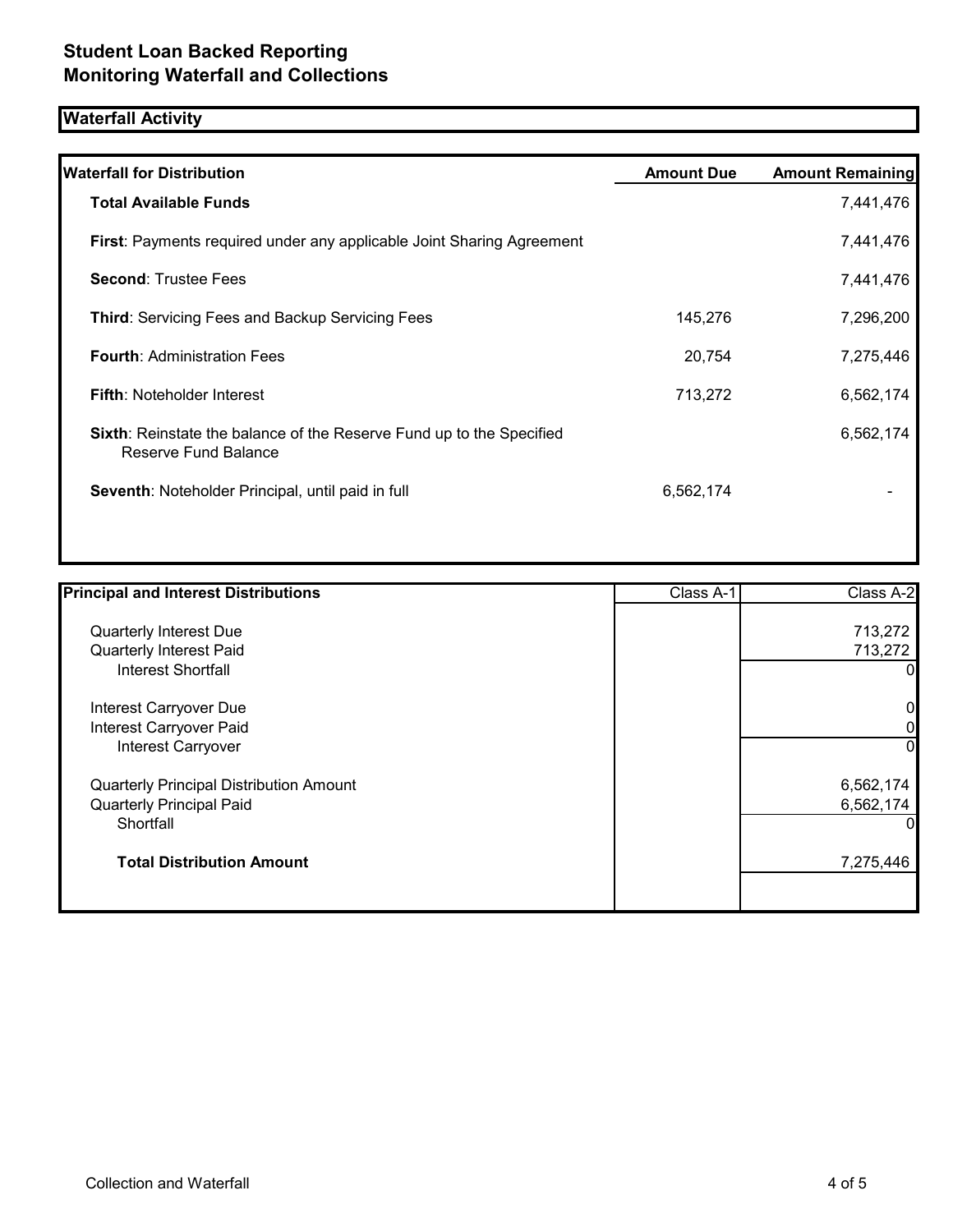# **Waterfall Activity**

| <b>Waterfall for Distribution</b>                                                                   | <b>Amount Due</b> | <b>Amount Remaining</b> |
|-----------------------------------------------------------------------------------------------------|-------------------|-------------------------|
| <b>Total Available Funds</b>                                                                        |                   | 7,441,476               |
| <b>First:</b> Payments required under any applicable Joint Sharing Agreement                        |                   | 7,441,476               |
| <b>Second: Trustee Fees</b>                                                                         |                   | 7,441,476               |
| <b>Third: Servicing Fees and Backup Servicing Fees</b>                                              | 145,276           | 7,296,200               |
| <b>Fourth: Administration Fees</b>                                                                  | 20,754            | 7,275,446               |
| <b>Fifth: Noteholder Interest</b>                                                                   | 713,272           | 6,562,174               |
| <b>Sixth:</b> Reinstate the balance of the Reserve Fund up to the Specified<br>Reserve Fund Balance |                   | 6,562,174               |
| Seventh: Noteholder Principal, until paid in full                                                   | 6,562,174         |                         |

| <b>Principal and Interest Distributions</b>    | Class A-1 | Class A-2      |
|------------------------------------------------|-----------|----------------|
| Quarterly Interest Due                         |           | 713,272        |
| Quarterly Interest Paid                        |           | 713,272        |
| <b>Interest Shortfall</b>                      |           | 0              |
| Interest Carryover Due                         |           | 0              |
| Interest Carryover Paid                        |           | 0              |
| <b>Interest Carryover</b>                      |           | $\overline{0}$ |
| <b>Quarterly Principal Distribution Amount</b> |           | 6,562,174      |
| <b>Quarterly Principal Paid</b>                |           | 6,562,174      |
| Shortfall                                      |           |                |
| <b>Total Distribution Amount</b>               |           | 7,275,446      |
|                                                |           |                |